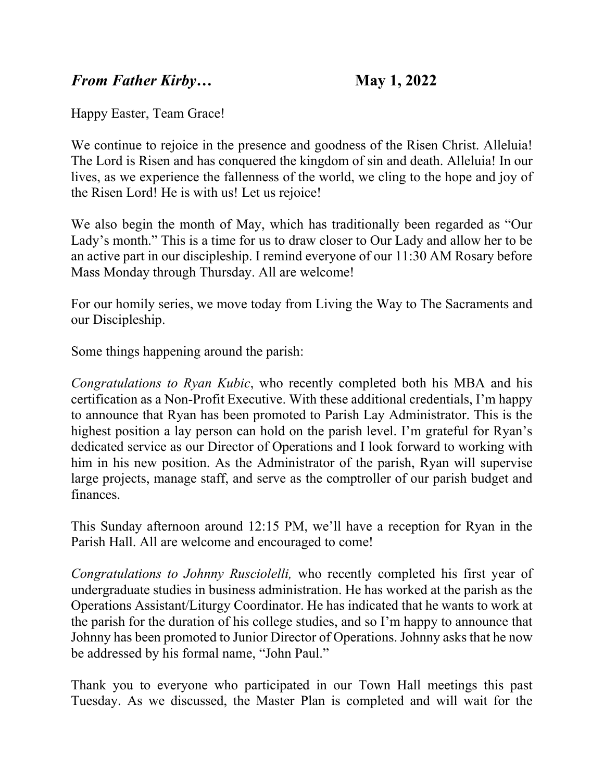## *From Father Kirby…* **May 1, 2022**

Happy Easter, Team Grace!

We continue to rejoice in the presence and goodness of the Risen Christ. Alleluia! The Lord is Risen and has conquered the kingdom of sin and death. Alleluia! In our lives, as we experience the fallenness of the world, we cling to the hope and joy of the Risen Lord! He is with us! Let us rejoice!

We also begin the month of May, which has traditionally been regarded as "Our Lady's month." This is a time for us to draw closer to Our Lady and allow her to be an active part in our discipleship. I remind everyone of our 11:30 AM Rosary before Mass Monday through Thursday. All are welcome!

For our homily series, we move today from Living the Way to The Sacraments and our Discipleship.

Some things happening around the parish:

*Congratulations to Ryan Kubic*, who recently completed both his MBA and his certification as a Non-Profit Executive. With these additional credentials, I'm happy to announce that Ryan has been promoted to Parish Lay Administrator. This is the highest position a lay person can hold on the parish level. I'm grateful for Ryan's dedicated service as our Director of Operations and I look forward to working with him in his new position. As the Administrator of the parish, Ryan will supervise large projects, manage staff, and serve as the comptroller of our parish budget and finances.

This Sunday afternoon around 12:15 PM, we'll have a reception for Ryan in the Parish Hall. All are welcome and encouraged to come!

*Congratulations to Johnny Rusciolelli,* who recently completed his first year of undergraduate studies in business administration. He has worked at the parish as the Operations Assistant/Liturgy Coordinator. He has indicated that he wants to work at the parish for the duration of his college studies, and so I'm happy to announce that Johnny has been promoted to Junior Director of Operations. Johnny asks that he now be addressed by his formal name, "John Paul."

Thank you to everyone who participated in our Town Hall meetings this past Tuesday. As we discussed, the Master Plan is completed and will wait for the